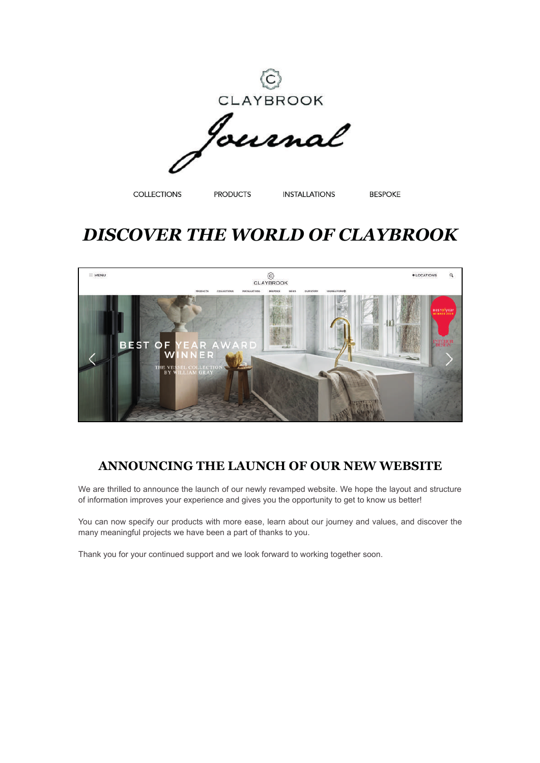

CLAYBROOK

**COLLECTIONS** 

**PRODUCTS** 

**INSTALLATIONS** 

**BESPOKE** 

## *DISCOVER THE WORLD OF CLAYBROOK*



## **ANNOUNCING THE LAUNCH OF OUR NEW WEBSITE**

We are thrilled to announce the launch of our newly revamped website. We hope the layout and structure of information improves your experience and gives you the opportunity to get to know us better!

You can now specify our products with more ease, learn about our journey and values, and discover the many meaningful projects we have been a part of thanks to you.

Thank you for your continued support and we look forward to working together soon.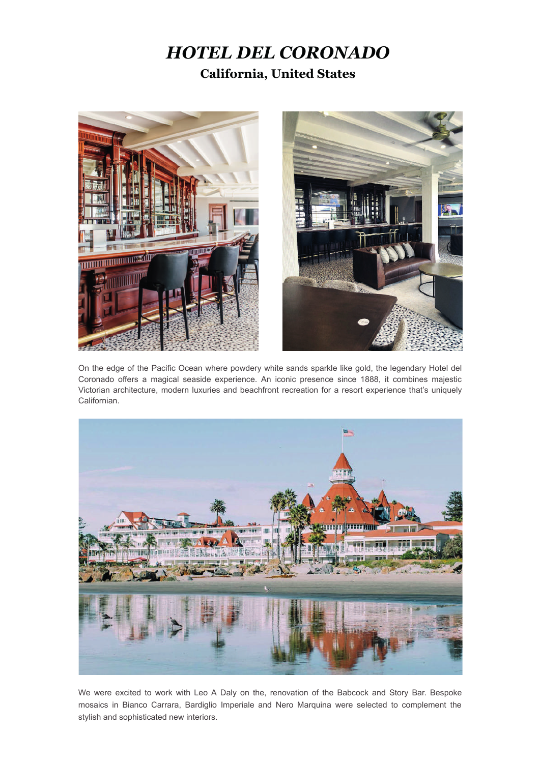## *HOTEL DEL CORONADO* **California, United States**





On the edge of the Pacific Ocean where powdery white sands sparkle like gold, the legendary Hotel del Coronado offers a magical seaside experience. An iconic presence since 1888, it combines majestic Victorian architecture, modern luxuries and beachfront recreation for a resort experience that's uniquely Californian.



We were excited to work with Leo A Daly on the, renovation of the Babcock and Story Bar. Bespoke mosaics in Bianco Carrara, Bardiglio Imperiale and Nero Marquina were selected to complement the stylish and sophisticated new interiors.